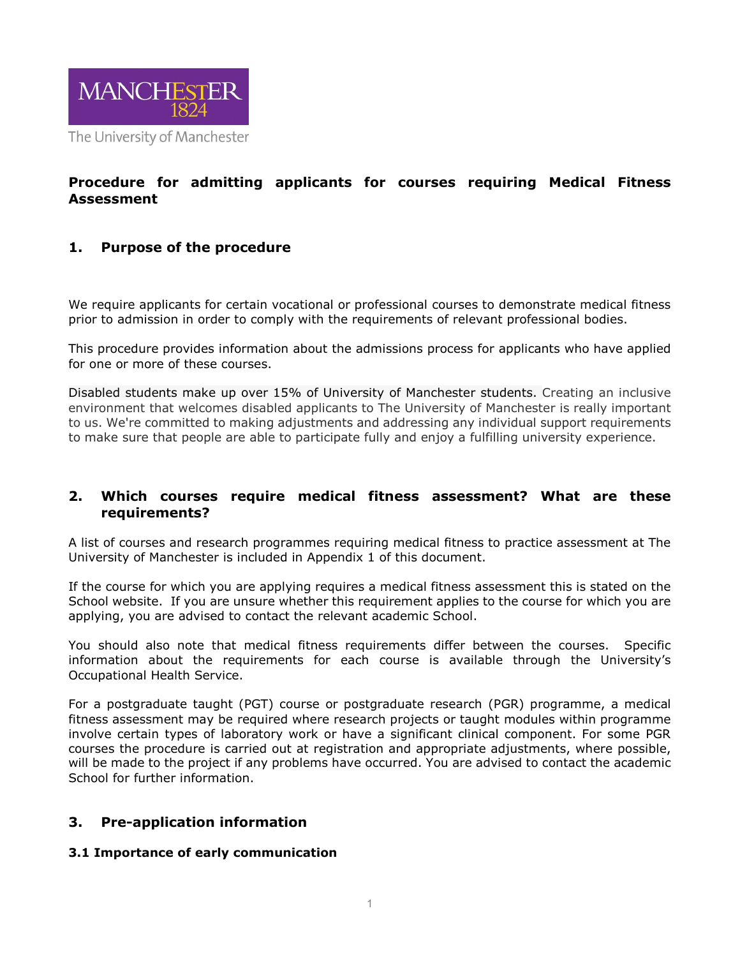

# **Procedure for admitting applicants for courses requiring Medical Fitness Assessment**

# **1. Purpose of the procedure**

We require applicants for certain vocational or professional courses to demonstrate medical fitness prior to admission in order to comply with the requirements of relevant professional bodies.

This procedure provides information about the admissions process for applicants who have applied for one or more of these courses.

Disabled students make up over 15% of University of Manchester students. Creating an inclusive environment that welcomes disabled applicants to The University of Manchester is really important to us. We're committed to making adjustments and addressing any individual support requirements to make sure that people are able to participate fully and enjoy a fulfilling university experience.

## **2. Which courses require medical fitness assessment? What are these requirements?**

A list of courses and research programmes requiring medical fitness to practice assessment at The University of Manchester is included in Appendix 1 of this document.

If the course for which you are applying requires a medical fitness assessment this is stated on the School website. If you are unsure whether this requirement applies to the course for which you are applying, you are advised to contact the relevant academic School.

You should also note that medical fitness requirements differ between the courses. Specific information about the requirements for each course is available through the University's Occupational Health Service.

For a postgraduate taught (PGT) course or postgraduate research (PGR) programme, a medical fitness assessment may be required where research projects or taught modules within programme involve certain types of laboratory work or have a significant clinical component. For some PGR courses the procedure is carried out at registration and appropriate adjustments, where possible, will be made to the project if any problems have occurred. You are advised to contact the academic School for further information.

# **3. Pre-application information**

### **3.1 Importance of early communication**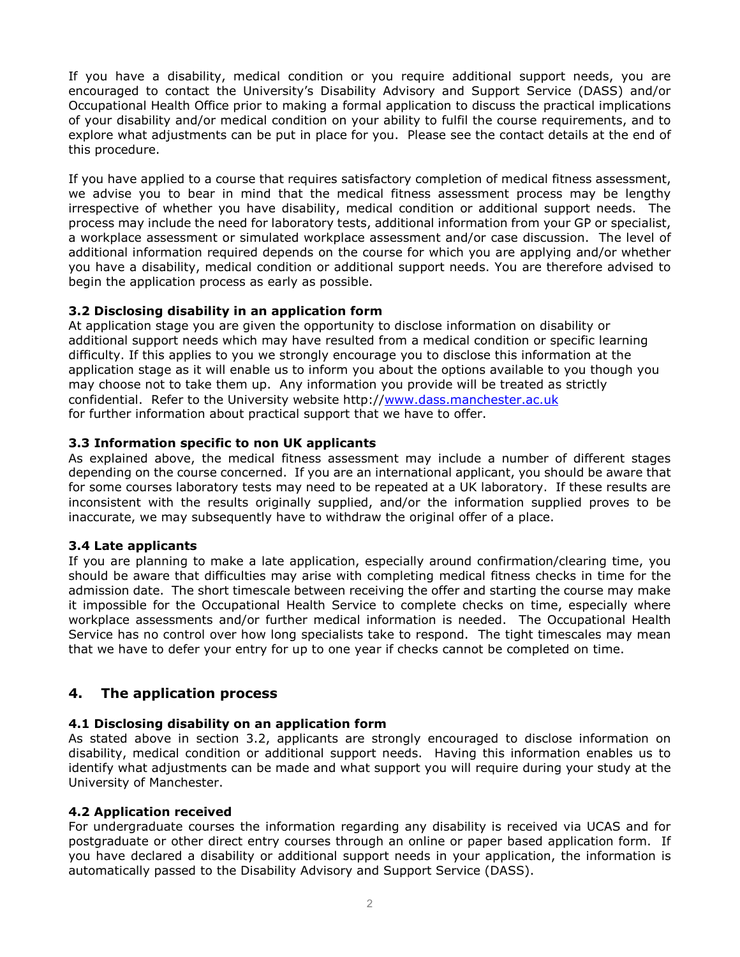If you have a disability, medical condition or you require additional support needs, you are encouraged to contact the University's Disability Advisory and Support Service (DASS) and/or Occupational Health Office prior to making a formal application to discuss the practical implications of your disability and/or medical condition on your ability to fulfil the course requirements, and to explore what adjustments can be put in place for you. Please see the contact details at the end of this procedure.

If you have applied to a course that requires satisfactory completion of medical fitness assessment, we advise you to bear in mind that the medical fitness assessment process may be lengthy irrespective of whether you have disability, medical condition or additional support needs. The process may include the need for laboratory tests, additional information from your GP or specialist, a workplace assessment or simulated workplace assessment and/or case discussion. The level of additional information required depends on the course for which you are applying and/or whether you have a disability, medical condition or additional support needs. You are therefore advised to begin the application process as early as possible.

## **3.2 Disclosing disability in an application form**

At application stage you are given the opportunity to disclose information on disability or additional support needs which may have resulted from a medical condition or specific learning difficulty. If this applies to you we strongly encourage you to disclose this information at the application stage as it will enable us to inform you about the options available to you though you may choose not to take them up. Any information you provide will be treated as strictly confidential. Refer to the University website http:/[/www.dass.manchester.ac.uk](http://www.dass.manchester.ac.uk/) for further information about practical support that we have to offer.

## **3.3 Information specific to non UK applicants**

As explained above, the medical fitness assessment may include a number of different stages depending on the course concerned. If you are an international applicant, you should be aware that for some courses laboratory tests may need to be repeated at a UK laboratory. If these results are inconsistent with the results originally supplied, and/or the information supplied proves to be inaccurate, we may subsequently have to withdraw the original offer of a place.

### **3.4 Late applicants**

If you are planning to make a late application, especially around confirmation/clearing time, you should be aware that difficulties may arise with completing medical fitness checks in time for the admission date. The short timescale between receiving the offer and starting the course may make it impossible for the Occupational Health Service to complete checks on time, especially where workplace assessments and/or further medical information is needed. The Occupational Health Service has no control over how long specialists take to respond. The tight timescales may mean that we have to defer your entry for up to one year if checks cannot be completed on time.

# **4. The application process**

### **4.1 Disclosing disability on an application form**

As stated above in section 3.2, applicants are strongly encouraged to disclose information on disability, medical condition or additional support needs. Having this information enables us to identify what adjustments can be made and what support you will require during your study at the University of Manchester.

### **4.2 Application received**

For undergraduate courses the information regarding any disability is received via UCAS and for postgraduate or other direct entry courses through an online or paper based application form. If you have declared a disability or additional support needs in your application, the information is automatically passed to the Disability Advisory and Support Service (DASS).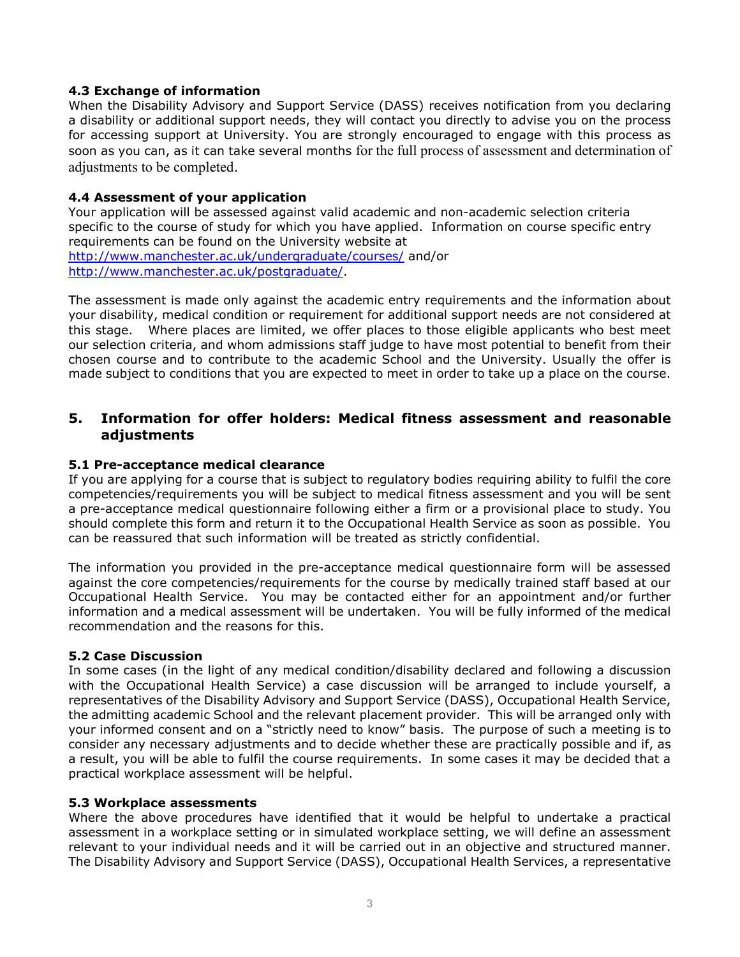## **4.3 Exchange of information**

When the Disability Advisory and Support Service (DASS) receives notification from you declaring a disability or additional support needs, they will contact you directly to advise you on the process for accessing support at University. You are strongly encouraged to engage with this process as soon as you can, as it can take several months for the full process of assessment and determination of adjustments to be completed.

### **4.4 Assessment of your application**

Your application will be assessed against valid academic and non-academic selection criteria specific to the course of study for which you have applied. Information on course specific entry requirements can be found on the University website at <http://www.manchester.ac.uk/undergraduate/courses/> and/or [http://www.manchester.ac.uk/postgraduate/.](http://www.manchester.ac.uk/postgraduate/)

The assessment is made only against the academic entry requirements and the information about your disability, medical condition or requirement for additional support needs are not considered at this stage. Where places are limited, we offer places to those eligible applicants who best meet our selection criteria, and whom admissions staff judge to have most potential to benefit from their chosen course and to contribute to the academic School and the University. Usually the offer is made subject to conditions that you are expected to meet in order to take up a place on the course.

## **5. Information for offer holders: Medical fitness assessment and reasonable adjustments**

### **5.1 Pre-acceptance medical clearance**

If you are applying for a course that is subject to regulatory bodies requiring ability to fulfil the core competencies/requirements you will be subject to medical fitness assessment and you will be sent a pre-acceptance medical questionnaire following either a firm or a provisional place to study. You should complete this form and return it to the Occupational Health Service as soon as possible. You can be reassured that such information will be treated as strictly confidential.

The information you provided in the pre-acceptance medical questionnaire form will be assessed against the core competencies/requirements for the course by medically trained staff based at our Occupational Health Service. You may be contacted either for an appointment and/or further information and a medical assessment will be undertaken. You will be fully informed of the medical recommendation and the reasons for this.

### **5.2 Case Discussion**

In some cases (in the light of any medical condition/disability declared and following a discussion with the Occupational Health Service) a case discussion will be arranged to include yourself, a representatives of the Disability Advisory and Support Service (DASS), Occupational Health Service, the admitting academic School and the relevant placement provider. This will be arranged only with your informed consent and on a "strictly need to know" basis. The purpose of such a meeting is to consider any necessary adjustments and to decide whether these are practically possible and if, as a result, you will be able to fulfil the course requirements. In some cases it may be decided that a practical workplace assessment will be helpful.

#### **5.3 Workplace assessments**

Where the above procedures have identified that it would be helpful to undertake a practical assessment in a workplace setting or in simulated workplace setting, we will define an assessment relevant to your individual needs and it will be carried out in an objective and structured manner. The Disability Advisory and Support Service (DASS), Occupational Health Services, a representative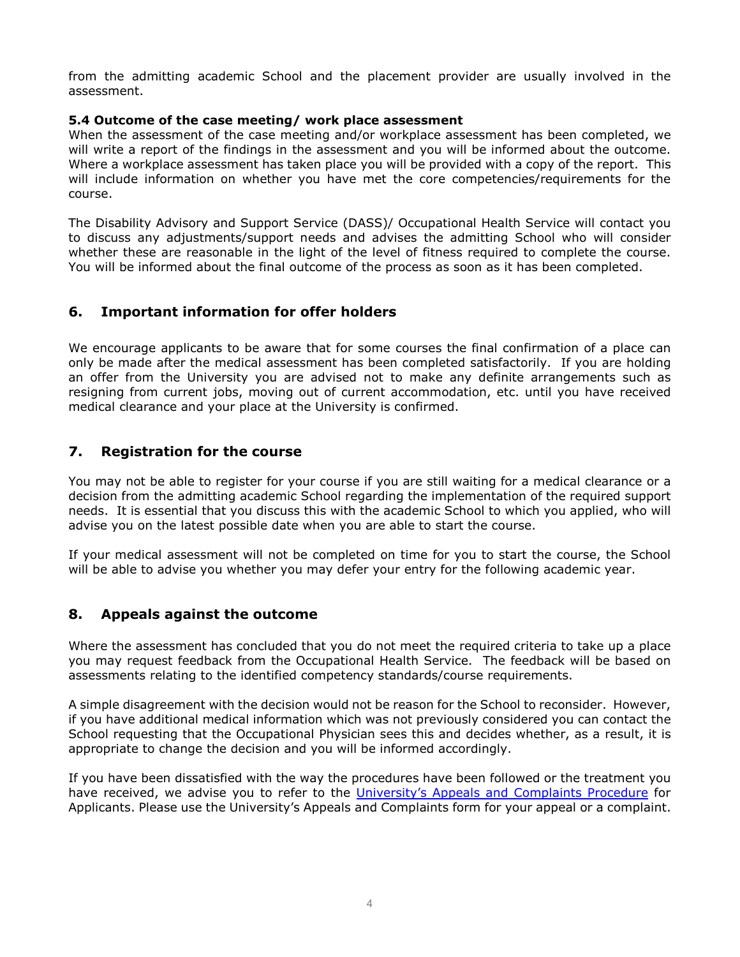from the admitting academic School and the placement provider are usually involved in the assessment.

## **5.4 Outcome of the case meeting/ work place assessment**

When the assessment of the case meeting and/or workplace assessment has been completed, we will write a report of the findings in the assessment and you will be informed about the outcome. Where a workplace assessment has taken place you will be provided with a copy of the report. This will include information on whether you have met the core competencies/requirements for the course.

The Disability Advisory and Support Service (DASS)/ Occupational Health Service will contact you to discuss any adjustments/support needs and advises the admitting School who will consider whether these are reasonable in the light of the level of fitness required to complete the course. You will be informed about the final outcome of the process as soon as it has been completed.

# **6. Important information for offer holders**

We encourage applicants to be aware that for some courses the final confirmation of a place can only be made after the medical assessment has been completed satisfactorily. If you are holding an offer from the University you are advised not to make any definite arrangements such as resigning from current jobs, moving out of current accommodation, etc. until you have received medical clearance and your place at the University is confirmed.

# **7. Registration for the course**

You may not be able to register for your course if you are still waiting for a medical clearance or a decision from the admitting academic School regarding the implementation of the required support needs. It is essential that you discuss this with the academic School to which you applied, who will advise you on the latest possible date when you are able to start the course.

If your medical assessment will not be completed on time for you to start the course, the School will be able to advise you whether you may defer your entry for the following academic year.

# **8. Appeals against the outcome**

Where the assessment has concluded that you do not meet the required criteria to take up a place you may request feedback from the Occupational Health Service. The feedback will be based on assessments relating to the identified competency standards/course requirements.

A simple disagreement with the decision would not be reason for the School to reconsider. However, if you have additional medical information which was not previously considered you can contact the School requesting that the Occupational Physician sees this and decides whether, as a result, it is appropriate to change the decision and you will be informed accordingly.

If you have been dissatisfied with the way the procedures have been followed or the treatment you have received, we advise you to refer to the [University's Appeals and Complaints Procedure](http://www.regulations.manchester.ac.uk/non-academic/applicants-appeals-complaints-procedure/) for Applicants. Please use the University's Appeals and Complaints form for your appeal or a complaint.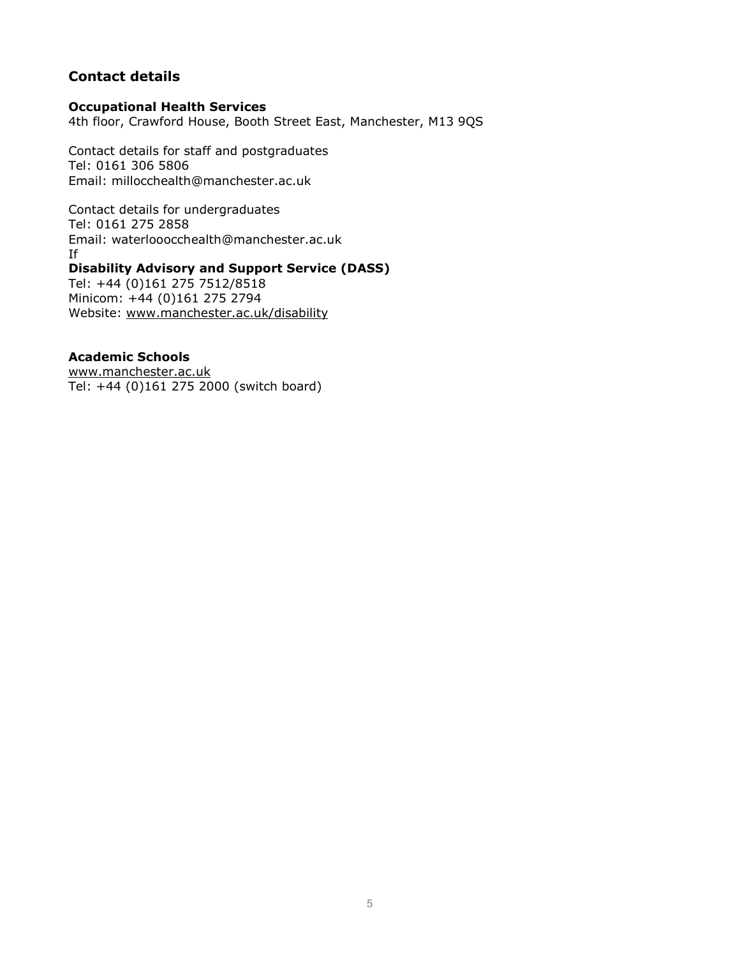# **Contact details**

### **Occupational Health Services**

4th floor, Crawford House, Booth Street East, Manchester, M13 9QS

Contact details for staff and postgraduates Tel: 0161 306 5806 Email: millocchealth@manchester.ac.uk

Contact details for undergraduates Tel: 0161 275 2858 Email: waterlooocchealth@manchester.ac.uk If **Disability Advisory and Support Service (DASS)** Tel: +44 (0)161 275 7512/8518 Minicom: +44 (0)161 275 2794

Website: [www.manchester.ac.uk/disability](http://www.manchester.ac.uk/disability)

## **Academic Schools**

[www.manchester.ac.uk](http://www.manchester.ac.uk/) Tel: +44 (0)161 275 2000 (switch board)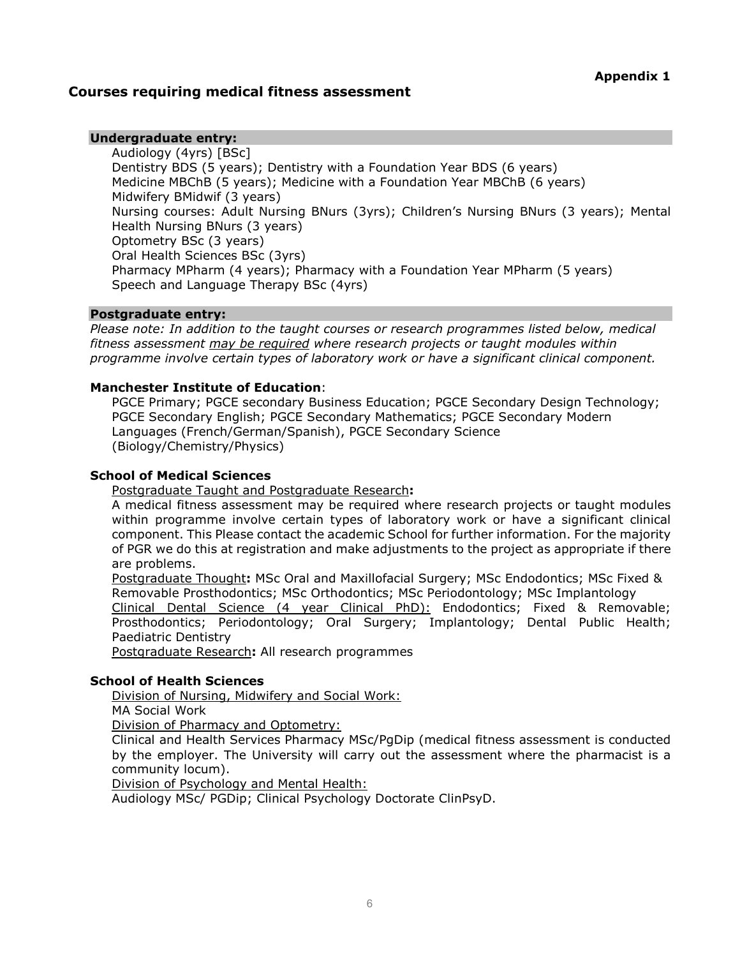## **Courses requiring medical fitness assessment**

## **Undergraduate entry:**

Audiology (4yrs) [BSc] Dentistry BDS (5 years); Dentistry with a Foundation Year BDS (6 years) Medicine MBChB (5 years); Medicine with a Foundation Year MBChB (6 years) Midwifery BMidwif (3 years) Nursing courses: Adult Nursing BNurs (3yrs); Children's Nursing BNurs (3 years); Mental Health Nursing BNurs (3 years) Optometry BSc (3 years) Oral Health Sciences BSc (3yrs) Pharmacy MPharm (4 years); Pharmacy with a Foundation Year MPharm (5 years) Speech and Language Therapy BSc (4yrs)

#### **Postgraduate entry:**

*Please note: In addition to the taught courses or research programmes listed below, medical fitness assessment may be required where research projects or taught modules within programme involve certain types of laboratory work or have a significant clinical component.*

#### **Manchester Institute of Education**:

PGCE Primary; PGCE secondary Business Education; PGCE Secondary Design Technology; PGCE Secondary English; PGCE Secondary Mathematics; PGCE Secondary Modern Languages (French/German/Spanish), PGCE Secondary Science (Biology/Chemistry/Physics)

#### **School of Medical Sciences**

Postgraduate Taught and Postgraduate Research**:**

A medical fitness assessment may be required where research projects or taught modules within programme involve certain types of laboratory work or have a significant clinical component. This Please contact the academic School for further information. For the majority of PGR we do this at registration and make adjustments to the project as appropriate if there are problems.

Postgraduate Thought**:** MSc Oral and Maxillofacial Surgery; MSc Endodontics; MSc Fixed & Removable Prosthodontics; MSc Orthodontics; MSc Periodontology; MSc Implantology

Clinical Dental Science (4 year Clinical PhD): Endodontics; Fixed & Removable; Prosthodontics; Periodontology; Oral Surgery; Implantology; Dental Public Health; Paediatric Dentistry

Postgraduate Research**:** All research programmes

#### **School of Health Sciences**

Division of Nursing, Midwifery and Social Work:

MA Social Work

Division of Pharmacy and Optometry:

Clinical and Health Services Pharmacy MSc/PgDip (medical fitness assessment is conducted by the employer. The University will carry out the assessment where the pharmacist is a community locum).

Division of Psychology and Mental Health:

Audiology MSc/ PGDip; Clinical Psychology Doctorate ClinPsyD.